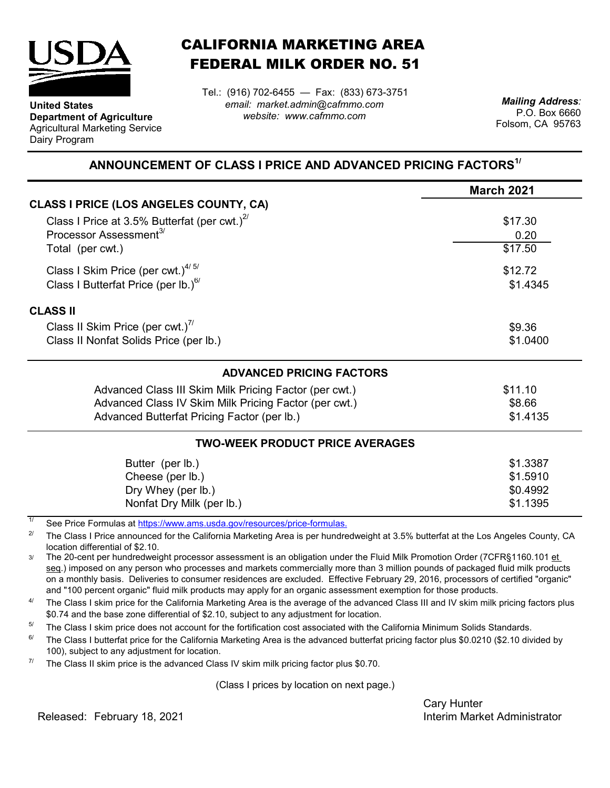

**Department of Agriculture** Agricultural Marketing Service

**United States**

Dairy Program

CALIFORNIA MARKETING AREA FEDERAL MILK ORDER NO. 51

*email: market.admin@cafmmo.com website: www.cafmmo.com* Tel.: (916) 702-6455 — Fax: (833) 673-3751 *Mailing Address:*

P.O. Box 6660 Folsom, CA 95763

## **ANNOUNCEMENT OF CLASS I PRICE AND ADVANCED PRICING FACTORS1/**

|                                                                         | <b>March 2021</b> |  |  |
|-------------------------------------------------------------------------|-------------------|--|--|
| <b>CLASS I PRICE (LOS ANGELES COUNTY, CA)</b>                           |                   |  |  |
| Class I Price at 3.5% Butterfat (per cwt.) $^{27}$                      | \$17.30           |  |  |
| Processor Assessment <sup>3/</sup>                                      | 0.20              |  |  |
| Total (per cwt.)                                                        | \$17.50           |  |  |
| Class I Skim Price (per cwt.) $4/5/$                                    | \$12.72           |  |  |
| Class I Butterfat Price (per lb.) <sup>6/</sup>                         | \$1.4345          |  |  |
| <b>CLASS II</b>                                                         |                   |  |  |
| Class II Skim Price (per cwt.) <sup>7/</sup>                            | \$9.36            |  |  |
| Class II Nonfat Solids Price (per lb.)                                  | \$1.0400          |  |  |
| <b>ADVANCED PRICING FACTORS</b>                                         |                   |  |  |
| Advanced Class III Skim Milk Pricing Factor (per cwt.)                  | \$11.10           |  |  |
| Advanced Class IV Skim Milk Pricing Factor (per cwt.)                   | \$8.66            |  |  |
| Advanced Butterfat Pricing Factor (per lb.)                             | \$1.4135          |  |  |
| <b>TWO-WEEK PRODUCT PRICE AVERAGES</b>                                  |                   |  |  |
| Butter (per lb.)                                                        | \$1.3387          |  |  |
| Cheese (per lb.)                                                        | \$1.5910          |  |  |
| Dry Whey (per lb.)                                                      | \$0.4992          |  |  |
| Nonfat Dry Milk (per lb.)                                               | \$1.1395          |  |  |
| See Price Formulas at https://www.ams.usda.gov/resources/price-formulas |                   |  |  |

[See Price Formulas at h](https://www.ams.usda.gov/resources/price-formulas)ttps://www.ams.usda.gov/r

2/ The Class I Price announced for the California Marketing Area is per hundredweight at 3.5% butterfat at the Los Angeles County, CA location differential of \$2.10.

3/ The 20-cent per hundredweight processor assessment is an obligation under the Fluid Milk Promotion Order (7CFR§1160.101 et seq.) imposed on any person who processes and markets commercially more than 3 million pounds of packaged fluid milk products on a monthly basis. Deliveries to consumer residences are excluded. Effective February 29, 2016, processors of certified "organic" and "100 percent organic" fluid milk products may apply for an organic assessment exemption for those products.

4/ The Class I skim price for the California Marketing Area is the average of the advanced Class III and IV skim milk pricing factors plus \$0.74 and the base zone differential of \$2.10, subject to any adjustment for location.

5/ The Class I skim price does not account for the fortification cost associated with the California Minimum Solids Standards.

6/ The Class I butterfat price for the California Marketing Area is the advanced butterfat pricing factor plus \$0.0210 (\$2.10 divided by 100), subject to any adjustment for location.

7/ The Class II skim price is the advanced Class IV skim milk pricing factor plus \$0.70.

(Class I prices by location on next page.)

Cary Hunter

Released: Interim Market Administrator February 18, 2021